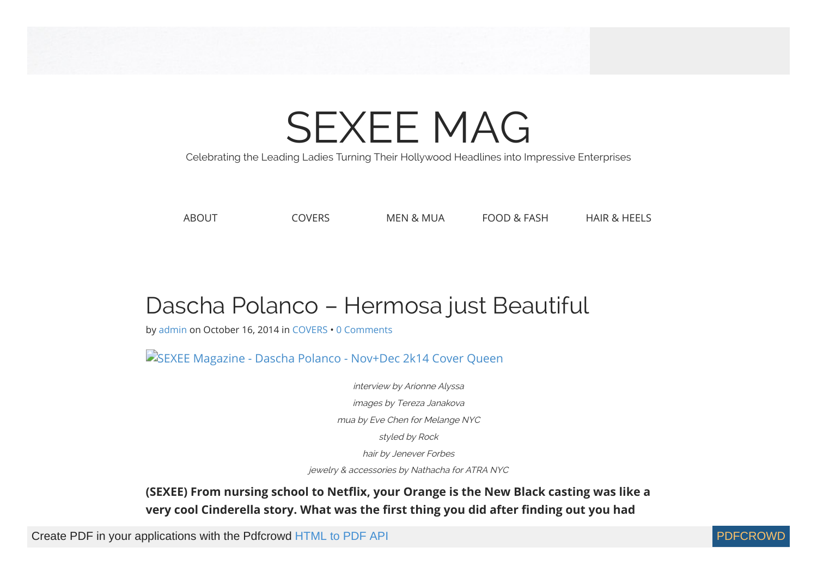# [SEXEE](https://web.archive.org/web/20141218183602/http://sexeemag.com/) MAG

Celebrating the Leading Ladies Turning Their Hollywood Headlines into Impressive Enterprises

[ABOUT](https://web.archive.org/web/20141218183602/http://sexeemag.com/about/) [COVERS](https://web.archive.org/web/20141218183602/http://sexeemag.com/category/covers/) [MEN & MUA](https://web.archive.org/web/20141218183602/http://sexeemag.com/category/men-mua/) [FOOD & FASH](https://web.archive.org/web/20141218183602/http://sexeemag.com/category/food-fash/) [HAIR & HEELS](https://web.archive.org/web/20141218183602/http://sexeemag.com/category/hair-heels/)

## Dascha Polanco – Hermosa just Beautiful

by [admin](https://web.archive.org/web/20141218183602/http://sexeemag.com/author/admin/) on [October 16, 2014](https://web.archive.org/web/20141218183602/http://sexeemag.com/dascha-polanco/) in [COVERS](https://web.archive.org/web/20141218183602/http://sexeemag.com/category/covers/) • [0 Comments](https://web.archive.org/web/20141218183602/http://sexeemag.com/dascha-polanco/#respond)

[SEXEE Magazine - Dascha Polanco - Nov+Dec 2k14 Cover Queen](https://web.archive.org/web/20141218183602/http://sexeemag.com/wp-content/uploads/2014/10/Dascha-Polanco-SEXEE-Magazine-Nov+Dec-2k14-Cover-Queen.jpg)

interview by Arionne Alyssa images by Tereza Janakova mua by Eve Chen for Melange NYC styled by Rock hair by Jenever Forbes

jewelry & accessories by Nathacha for ATRA NYC

**(SEXEE) From nursing school to Netflix, your Orange is the New Black casting was like a** very cool Cinderella story. What was the first thing you did after finding out you had

Create PDF in your applications with the Pdfcrowd [HTML to PDF API](https://pdfcrowd.com/doc/api/?ref=pdf) PDFCROWING PUT API [PDFCROWD](https://pdfcrowd.com/?ref=pdf) CREATED AT A RESERVE

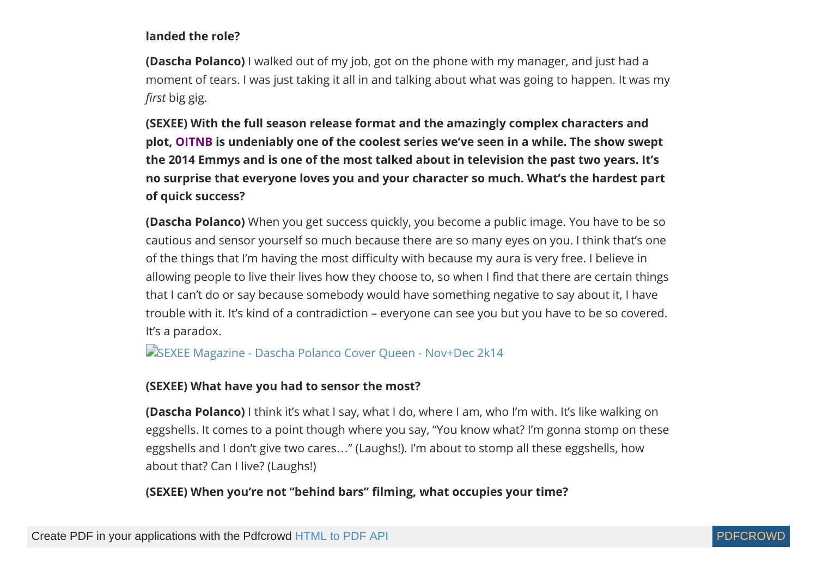#### **landed the role?**

**(Dascha Polanco)** I walked out of my job, got on the phone with my manager, and just had a moment of tears. I was just taking it all in and talking about what was going to happen. It was my *first* big gig.

**(SEXEE) With the full season release format and the amazingly complex characters and plot, [OITNB](https://web.archive.org/web/20141218183602/http://youtu.be/gVCeqVSjEkA) is undeniably one of the coolest series we've seen in a while. The show swept the 2014 Emmys and is one of the most talked about in television the past two years. It's no surprise that everyone loves you and your character so much. What's the hardest part of quick success?**

**(Dascha Polanco)** When you get success quickly, you become a public image. You have to be so cautious and sensor yourself so much because there are so many eyes on you. I think that's one of the things that I'm having the most difficulty with because my aura is very free. I believe in allowing people to live their lives how they choose to, so when I find that there are certain things that I can't do or say because somebody would have something negative to say about it, I have trouble with it. It's kind of a contradiction – everyone can see you but you have to be so covered. It's a paradox.

[SEXEE Magazine - Dascha Polanco Cover Queen - Nov+Dec 2k14](https://web.archive.org/web/20141218183602/http://sexeemag.com/wp-content/uploads/2014/10/Dascha-Polanco-SEXEE-Magazine-4.jpg)

#### **(SEXEE) What have you had to sensor the most?**

**(Dascha Polanco)** I think it's what I say, what I do, where I am, who I'm with. It's like walking on eggshells. It comes to a point though where you say, "You know what? I'm gonna stomp on these eggshells and I don't give two cares…" (Laughs!). I'm about to stomp all these eggshells, how about that? Can I live? (Laughs!)

**(SEXEE) When you're not "behind bars" filming, what occupies your time?** 

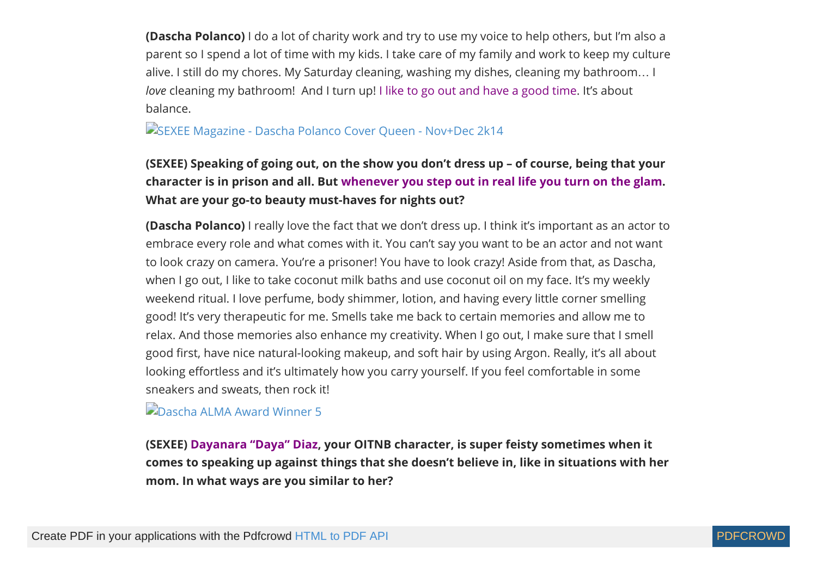**(Dascha Polanco)** I do a lot of charity work and try to use my voice to help others, but I'm also a parent so I spend a lot of time with my kids. I take care of my family and work to keep my culture alive. I still do my chores. My Saturday cleaning, washing my dishes, cleaning my bathroom… I *love* cleaning my bathroom! And I turn up! [I like to go out and have a good time](https://web.archive.org/web/20141218183602/http://youtu.be/Jay-xVCCPss). It's about balance.

#### [SEXEE Magazine - Dascha Polanco Cover Queen - Nov+Dec 2k14](https://web.archive.org/web/20141218183602/http://sexeemag.com/wp-content/uploads/2014/10/Dascha-Polanco-SEXEE-Magazine-12.jpg)

#### **(SEXEE) Speaking of going out, on the show you don't dress up – of course, being that your character is in prison and all. But [whenever you step out in real life you turn on the glam](https://web.archive.org/web/20141218183602/http://youtu.be/TUoxIXYD-b4). What are your go-to beauty must-haves for nights out?**

**(Dascha Polanco)** I really love the fact that we don't dress up. I think it's important as an actor to embrace every role and what comes with it. You can't say you want to be an actor and not want to look crazy on camera. You're a prisoner! You have to look crazy! Aside from that, as Dascha, when I go out, I like to take coconut milk baths and use coconut oil on my face. It's my weekly weekend ritual. I love perfume, body shimmer, lotion, and having every little corner smelling good! It's very therapeutic for me. Smells take me back to certain memories and allow me to relax. And those memories also enhance my creativity. When I go out, I make sure that I smell good first, have nice natural-looking makeup, and soft hair by using Argon. Really, it's all about looking effortless and it's ultimately how you carry yourself. If you feel comfortable in some sneakers and sweats, then rock it!

**[Dascha ALMA Award Winner 5](https://web.archive.org/web/20141218183602/http://sexeemag.com/wp-content/uploads/2014/10/Dascha-ALMA-Award-Winner-5.jpg)** 

**(SEXEE) [Dayanara "Daya" Diaz](https://web.archive.org/web/20141218183602/http://youtu.be/vZ4nNOtlxFc), your OITNB character, is super feisty sometimes when it comes to speaking up against things that she doesn't believe in, like in situations with her mom. In what ways are you similar to her?**

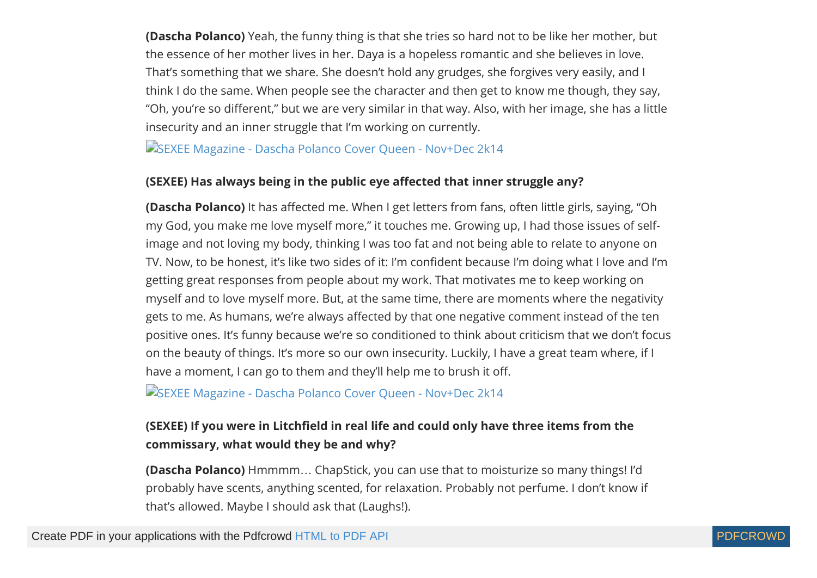**(Dascha Polanco)** Yeah, the funny thing is that she tries so hard not to be like her mother, but the essence of her mother lives in her. Daya is a hopeless romantic and she believes in love. That's something that we share. She doesn't hold any grudges, she forgives very easily, and I think I do the same. When people see the character and then get to know me though, they say, "Oh, you're so different," but we are very similar in that way. Also, with her image, she has a little insecurity and an inner struggle that I'm working on currently.

[SEXEE Magazine - Dascha Polanco Cover Queen - Nov+Dec 2k14](https://web.archive.org/web/20141218183602/http://sexeemag.com/wp-content/uploads/2014/10/Dascha-Polanco-SEXEE-Magazine-9.jpg)

#### **(SEXEE) Has always being in the public eye affected that inner struggle any?**

**(Dascha Polanco)** It has affected me. When I get letters from fans, often little girls, saying, "Oh my God, you make me love myself more," it touches me. Growing up, I had those issues of selfimage and not loving my body, thinking I was too fat and not being able to relate to anyone on TV. Now, to be honest, it's like two sides of it: I'm confident because I'm doing what I love and I'm getting great responses from people about my work. That motivates me to keep working on myself and to love myself more. But, at the same time, there are moments where the negativity gets to me. As humans, we're always affected by that one negative comment instead of the ten positive ones. It's funny because we're so conditioned to think about criticism that we don't focus on the beauty of things. It's more so our own insecurity. Luckily, I have a great team where, if I have a moment, I can go to them and they'll help me to brush it off.

[SEXEE Magazine - Dascha Polanco Cover Queen - Nov+Dec 2k14](https://web.archive.org/web/20141218183602/http://sexeemag.com/wp-content/uploads/2014/10/Dascha-Polanco-SEXEE-Magazine-10.jpg)

#### **(SEXEE) If you were in Litchfield in real life and could only have three items from the commissary, what would they be and why?**

**(Dascha Polanco)** Hmmmm… ChapStick, you can use that to moisturize so many things! I'd probably have scents, anything scented, for relaxation. Probably not perfume. I don't know if that's allowed. Maybe I should ask that (Laughs!).

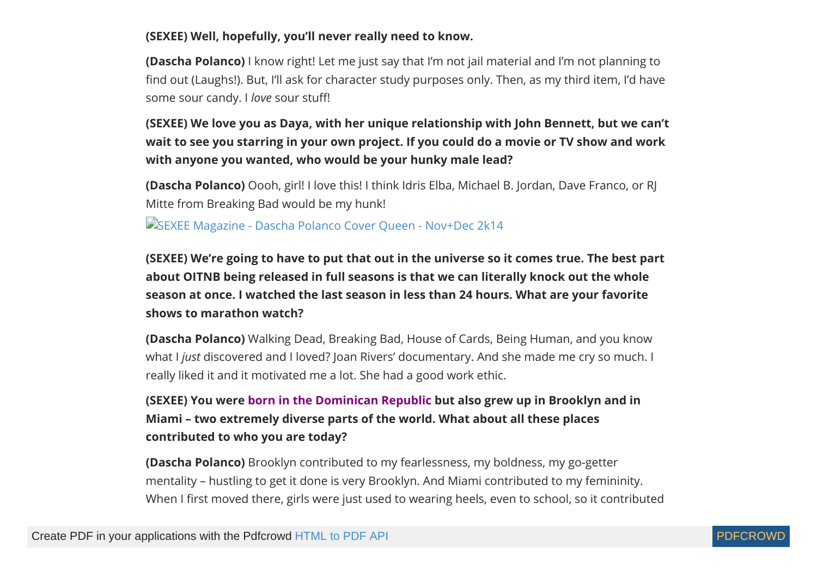#### **(SEXEE) Well, hopefully, you'll never really need to know.**

**(Dascha Polanco)** I know right! Let me just say that I'm not jail material and I'm not planning to find out (Laughs!). But, I'll ask for character study purposes only. Then, as my third item, I'd have some sour candy. I love sour stuff!

**(SEXEE) We love you as Daya, with her unique relationship with John Bennett, but we can't wait to see you starring in your own project. If you could do a movie or TV show and work with anyone you wanted, who would be your hunky male lead?**

**(Dascha Polanco)** Oooh, girl! I love this! I think Idris Elba, Michael B. Jordan, Dave Franco, or RJ Mitte from Breaking Bad would be my hunk!

[SEXEE Magazine - Dascha Polanco Cover Queen - Nov+Dec 2k14](https://web.archive.org/web/20141218183602/http://sexeemag.com/wp-content/uploads/2014/10/Dascha-Polanco-SEXEE-Magazine-5.jpg)

**(SEXEE) We're going to have to put that out in the universe so it comes true. The best part about OITNB being released in full seasons is that we can literally knock out the whole season at once. I watched the last season in less than 24 hours. What are your favorite shows to marathon watch?**

**(Dascha Polanco)** Walking Dead, Breaking Bad, House of Cards, Being Human, and you know what I *just* discovered and I loved? Joan Rivers' documentary. And she made me cry so much. I really liked it and it motivated me a lot. She had a good work ethic.

**(SEXEE) You were [born in the Dominican Republic](https://web.archive.org/web/20141218183602/http://youtu.be/4knvwcDB1mU) but also grew up in Brooklyn and in Miami – two extremely diverse parts of the world. What about all these places contributed to who you are today?**

**(Dascha Polanco)** Brooklyn contributed to my fearlessness, my boldness, my go-getter mentality – hustling to get it done is very Brooklyn. And Miami contributed to my femininity. When I first moved there, girls were just used to wearing heels, even to school, so it contributed

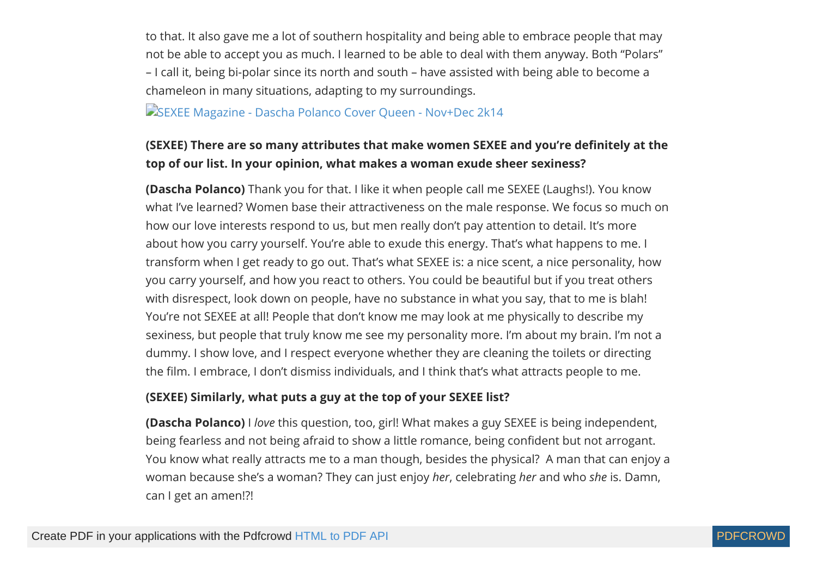to that. It also gave me a lot of southern hospitality and being able to embrace people that may not be able to accept you as much. I learned to be able to deal with them anyway. Both "Polars" – I call it, being bi-polar since its north and south – have assisted with being able to become a chameleon in many situations, adapting to my surroundings.

[SEXEE Magazine - Dascha Polanco Cover Queen - Nov+Dec 2k14](https://web.archive.org/web/20141218183602/http://sexeemag.com/wp-content/uploads/2014/10/Dascha-Polanco-SEXEE-Magazine-3.jpg)

#### **(SEXEE) There are so many attributes that make women SEXEE and you're definitely at the top of our list. In your opinion, what makes a woman exude sheer sexiness?**

**(Dascha Polanco)** Thank you for that. I like it when people call me SEXEE (Laughs!). You know what I've learned? Women base their attractiveness on the male response. We focus so much on how our love interests respond to us, but men really don't pay attention to detail. It's more about how you carry yourself. You're able to exude this energy. That's what happens to me. I transform when I get ready to go out. That's what SEXEE is: a nice scent, a nice personality, how you carry yourself, and how you react to others. You could be beautiful but if you treat others with disrespect, look down on people, have no substance in what you say, that to me is blah! You're not SEXEE at all! People that don't know me may look at me physically to describe my sexiness, but people that truly know me see my personality more. I'm about my brain. I'm not a dummy. I show love, and I respect everyone whether they are cleaning the toilets or directing the film. I embrace, I don't dismiss individuals, and I think that's what attracts people to me.

#### **(SEXEE) Similarly, what puts a guy at the top of your SEXEE list?**

**(Dascha Polanco)** I *love* this question, too, girl! What makes a guy SEXEE is being independent, being fearless and not being afraid to show a little romance, being confident but not arrogant. You know what really attracts me to a man though, besides the physical? A man that can enjoy a woman because she's a woman? They can just enjoy *her*, celebrating *her* and who *she* is. Damn, can I get an amen!?!

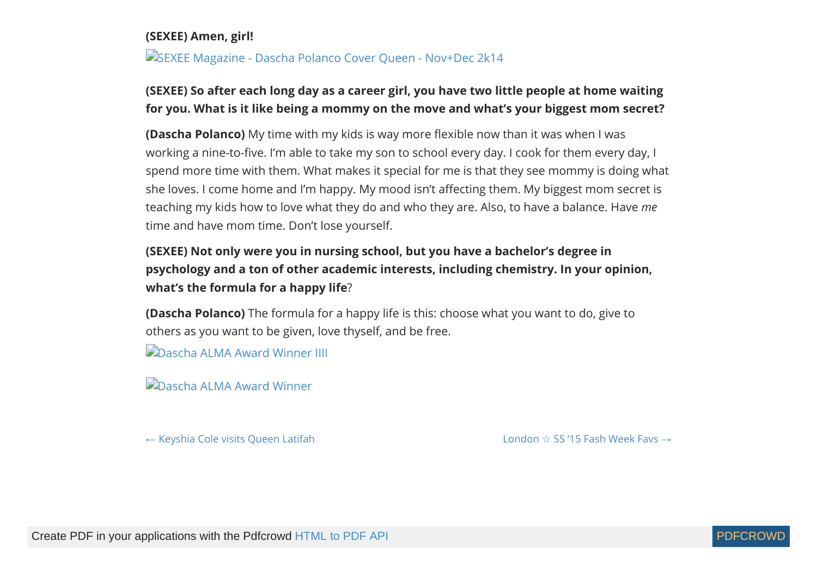#### **(SEXEE) Amen, girl!**

[SEXEE Magazine - Dascha Polanco Cover Queen - Nov+Dec 2k14](https://web.archive.org/web/20141218183602/http://sexeemag.com/wp-content/uploads/2014/10/Dascha-Polanco-SEXEE-Magazine-6.jpg)

#### **(SEXEE) So after each long day as a career girl, you have two little people at home waiting for you. What is it like being a mommy on the move and what's your biggest mom secret?**

**(Dascha Polanco)** My time with my kids is way more flexible now than it was when I was working a nine-to-five. I'm able to take my son to school every day. I cook for them every day, I spend more time with them. What makes it special for me is that they see mommy is doing what she loves. I come home and I'm happy. My mood isn't affecting them. My biggest mom secret is teaching my kids how to love what they do and who they are. Also, to have a balance. Have *me* time and have mom time. Don't lose yourself.

#### **(SEXEE) Not only were you in nursing school, but you have a bachelor's degree in psychology and a ton of other academic interests, including chemistry. In your opinion, what's the formula for a happy life**?

**(Dascha Polanco)** The formula for a happy life is this: choose what you want to do, give to others as you want to be given, love thyself, and be free.

**[Dascha ALMA Award Winner IIII](https://web.archive.org/web/20141218183602/http://sexeemag.com/wp-content/uploads/2014/10/Dascha-ALMA-Award-Winner-IIII.jpg)** 

**[Dascha ALMA Award Winner](https://web.archive.org/web/20141218183602/http://sexeemag.com/wp-content/uploads/2014/10/Dascha-ALMA-Award-Winner.jpg)** 

 $\leftarrow$  [Keyshia Cole visits Queen Latifah](https://web.archive.org/web/20141218183602/http://sexeemag.com/keyshia-cole/) London  $\star$  [SS '15 Fash Week Favs](https://web.archive.org/web/20141218183602/http://sexeemag.com/london-15/)  $\rightarrow$ 

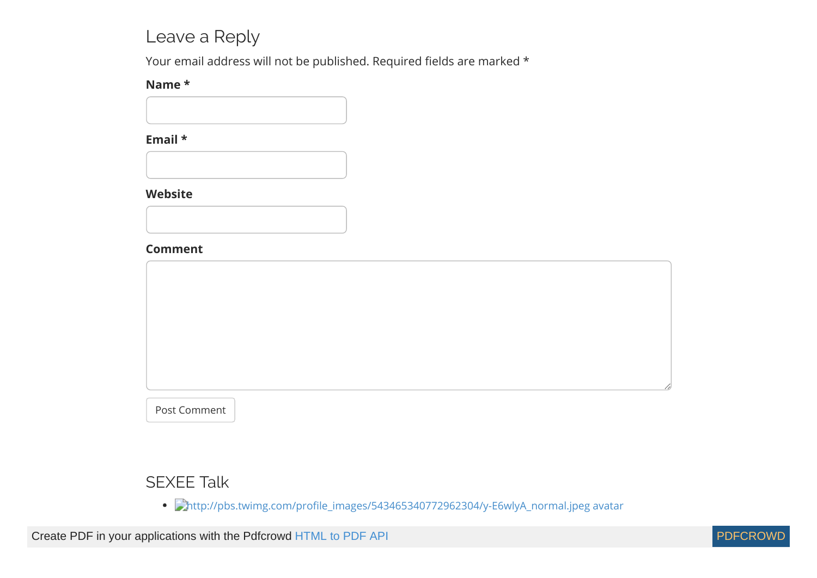### Leave a Reply

Your email address will not be published. Required fields are marked \*

#### **Name \***

#### **Email \***

#### **Website**



Post Comment

#### SEXEE Talk

• Chttp://pbs.twimg.com/profile\_images/543465340772962304/y-E6wlyA\_normal.jpeg avatar

Create PDF in your applications with the Pdfcrowd [HTML to PDF API](https://pdfcrowd.com/doc/api/?ref=pdf) [PDFCROWD](https://pdfcrowd.com/?ref=pdf) Create PDF in your applications with the Pdfcrowd HTML to PDF API